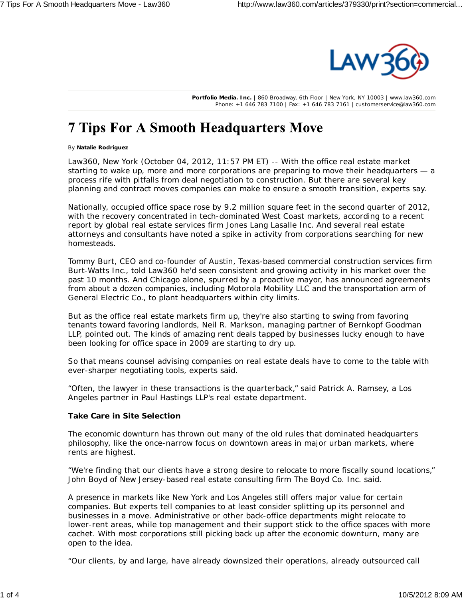

**Portfolio Media. Inc.** | 860 Broadway, 6th Floor | New York, NY 10003 | www.law360.com Phone: +1 646 783 7100 | Fax: +1 646 783 7161 | customerservice@law360.com

# **7 Tips For A Smooth Headquarters Move**

#### By **Natalie Rodriguez**

Law360, New York (October 04, 2012, 11:57 PM ET) -- With the office real estate market starting to wake up, more and more corporations are preparing to move their headquarters - a process rife with pitfalls from deal negotiation to construction. But there are several key planning and contract moves companies can make to ensure a smooth transition, experts say.

Nationally, occupied office space rose by 9.2 million square feet in the second quarter of 2012, with the recovery concentrated in tech-dominated West Coast markets, according to a recent report by global real estate services firm Jones Lang Lasalle Inc. And several real estate attorneys and consultants have noted a spike in activity from corporations searching for new homesteads.

Tommy Burt, CEO and co-founder of Austin, Texas-based commercial construction services firm Burt-Watts Inc., told Law360 he'd seen consistent and growing activity in his market over the past 10 months. And Chicago alone, spurred by a proactive mayor, has announced agreements from about a dozen companies, including Motorola Mobility LLC and the transportation arm of General Electric Co., to plant headquarters within city limits.

But as the office real estate markets firm up, they're also starting to swing from favoring tenants toward favoring landlords, Neil R. Markson, managing partner of Bernkopf Goodman LLP, pointed out. The kinds of amazing rent deals tapped by businesses lucky enough to have been looking for office space in 2009 are starting to dry up.

So that means counsel advising companies on real estate deals have to come to the table with ever-sharper negotiating tools, experts said.

"Often, the lawyer in these transactions is the quarterback," said Patrick A. Ramsey, a Los Angeles partner in Paul Hastings LLP's real estate department.

#### **Take Care in Site Selection**

The economic downturn has thrown out many of the old rules that dominated headquarters philosophy, like the once-narrow focus on downtown areas in major urban markets, where rents are highest.

"We're finding that our clients have a strong desire to relocate to more fiscally sound locations," John Boyd of New Jersey-based real estate consulting firm The Boyd Co. Inc. said.

A presence in markets like New York and Los Angeles still offers major value for certain companies. But experts tell companies to at least consider splitting up its personnel and businesses in a move. Administrative or other back-office departments might relocate to lower-rent areas, while top management and their support stick to the office spaces with more cachet. With most corporations still picking back up after the economic downturn, many are open to the idea.

"Our clients, by and large, have already downsized their operations, already outsourced call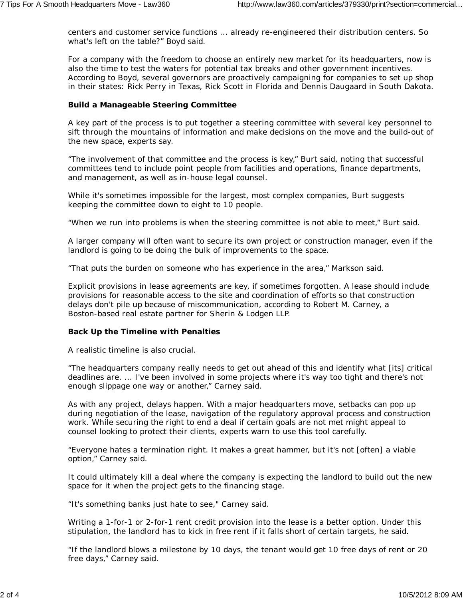centers and customer service functions ... already re-engineered their distribution centers. So what's left on the table?" Boyd said.

For a company with the freedom to choose an entirely new market for its headquarters, now is also the time to test the waters for potential tax breaks and other government incentives. According to Boyd, several governors are proactively campaigning for companies to set up shop in their states: Rick Perry in Texas, Rick Scott in Florida and Dennis Daugaard in South Dakota.

## **Build a Manageable Steering Committee**

A key part of the process is to put together a steering committee with several key personnel to sift through the mountains of information and make decisions on the move and the build-out of the new space, experts say.

"The involvement of that committee and the process is key," Burt said, noting that successful committees tend to include point people from facilities and operations, finance departments, and management, as well as in-house legal counsel.

While it's sometimes impossible for the largest, most complex companies, Burt suggests keeping the committee down to eight to 10 people.

"When we run into problems is when the steering committee is not able to meet," Burt said.

A larger company will often want to secure its own project or construction manager, even if the landlord is going to be doing the bulk of improvements to the space.

"That puts the burden on someone who has experience in the area," Markson said.

Explicit provisions in lease agreements are key, if sometimes forgotten. A lease should include provisions for reasonable access to the site and coordination of efforts so that construction delays don't pile up because of miscommunication, according to Robert M. Carney, a Boston-based real estate partner for Sherin & Lodgen LLP.

### **Back Up the Timeline with Penalties**

A realistic timeline is also crucial.

"The headquarters company really needs to get out ahead of this and identify what [its] critical deadlines are. ... I've been involved in some projects where it's way too tight and there's not enough slippage one way or another," Carney said.

As with any project, delays happen. With a major headquarters move, setbacks can pop up during negotiation of the lease, navigation of the regulatory approval process and construction work. While securing the right to end a deal if certain goals are not met might appeal to counsel looking to protect their clients, experts warn to use this tool carefully.

"Everyone hates a termination right. It makes a great hammer, but it's not [often] a viable option," Carney said.

It could ultimately kill a deal where the company is expecting the landlord to build out the new space for it when the project gets to the financing stage.

"It's something banks just hate to see," Carney said.

Writing a 1-for-1 or 2-for-1 rent credit provision into the lease is a better option. Under this stipulation, the landlord has to kick in free rent if it falls short of certain targets, he said.

"If the landlord blows a milestone by 10 days, the tenant would get 10 free days of rent or 20 free days," Carney said.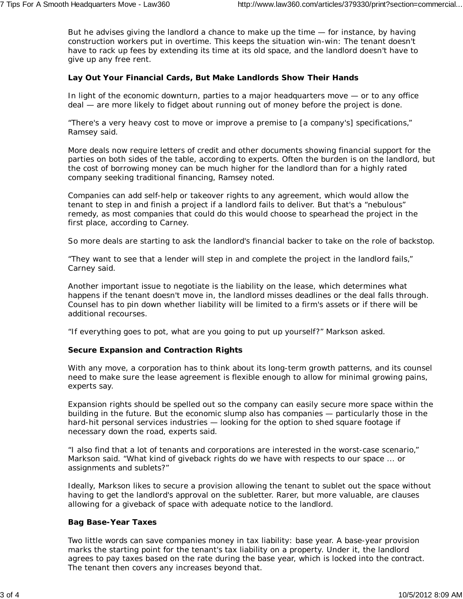But he advises giving the landlord a chance to make up the time — for instance, by having construction workers put in overtime. This keeps the situation win-win: The tenant doesn't have to rack up fees by extending its time at its old space, and the landlord doesn't have to give up any free rent.

### **Lay Out Your Financial Cards, But Make Landlords Show Their Hands**

In light of the economic downturn, parties to a major headquarters move — or to any office deal — are more likely to fidget about running out of money before the project is done.

"There's a very heavy cost to move or improve a premise to [a company's] specifications," Ramsey said.

More deals now require letters of credit and other documents showing financial support for the parties on both sides of the table, according to experts. Often the burden is on the landlord, but the cost of borrowing money can be much higher for the landlord than for a highly rated company seeking traditional financing, Ramsey noted.

Companies can add self-help or takeover rights to any agreement, which would allow the tenant to step in and finish a project if a landlord fails to deliver. But that's a "nebulous" remedy, as most companies that could do this would choose to spearhead the project in the first place, according to Carney.

So more deals are starting to ask the landlord's financial backer to take on the role of backstop.

"They want to see that a lender will step in and complete the project in the landlord fails," Carney said.

Another important issue to negotiate is the liability on the lease, which determines what happens if the tenant doesn't move in, the landlord misses deadlines or the deal falls through. Counsel has to pin down whether liability will be limited to a firm's assets or if there will be additional recourses.

"If everything goes to pot, what are you going to put up yourself?" Markson asked.

### **Secure Expansion and Contraction Rights**

With any move, a corporation has to think about its long-term growth patterns, and its counsel need to make sure the lease agreement is flexible enough to allow for minimal growing pains, experts say.

Expansion rights should be spelled out so the company can easily secure more space within the building in the future. But the economic slump also has companies — particularly those in the hard-hit personal services industries — looking for the option to shed square footage if necessary down the road, experts said.

"I also find that a lot of tenants and corporations are interested in the worst-case scenario," Markson said. "What kind of giveback rights do we have with respects to our space ... or assignments and sublets?"

Ideally, Markson likes to secure a provision allowing the tenant to sublet out the space without having to get the landlord's approval on the subletter. Rarer, but more valuable, are clauses allowing for a giveback of space with adequate notice to the landlord.

#### **Bag Base-Year Taxes**

Two little words can save companies money in tax liability: base year. A base-year provision marks the starting point for the tenant's tax liability on a property. Under it, the landlord agrees to pay taxes based on the rate during the base year, which is locked into the contract. The tenant then covers any increases beyond that.